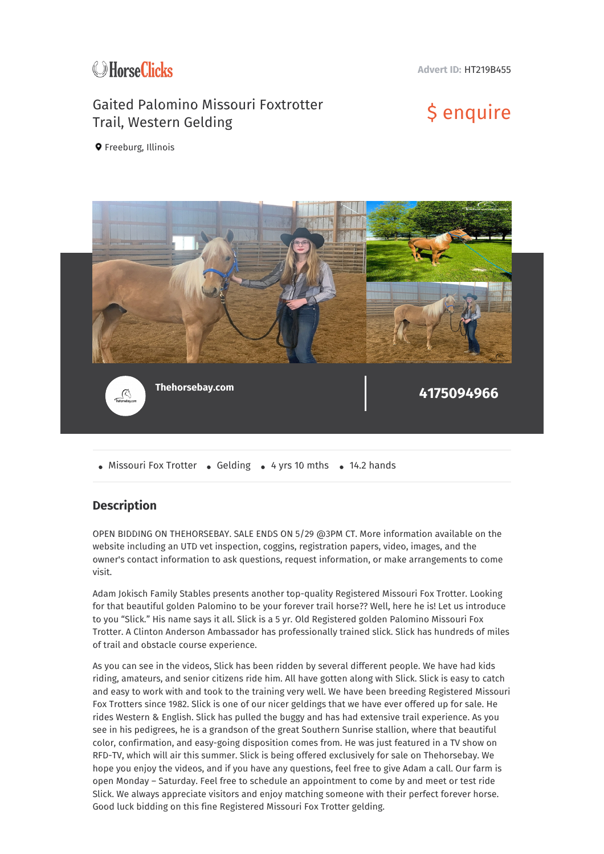

**Advert ID:** HT219B455

## Gaited Palomino Missouri Foxtrotter Gaited Palomino Missouri Foxtrotter \$ enquire<br>Trail, Western Gelding

**Q** Freeburg, Illinois



• Missouri Fox Trotter • Gelding • 4 yrs 10 mths • 14.2 hands

## **Description**

OPEN BIDDING ON THEHORSEBAY. SALE ENDS ON 5/29 @3PM CT. More information available on the website including an UTD vet inspection, coggins, registration papers, video, images, and the owner's contact information to ask questions, request information, or make arrangements to come visit.

Adam Jokisch Family Stables presents another top-quality Registered Missouri Fox Trotter. Looking for that beautiful golden Palomino to be your forever trail horse?? Well, here he is! Let us introduce to you "Slick." His name says it all. Slick is a 5 yr. Old Registered golden Palomino Missouri Fox Trotter. A Clinton Anderson Ambassador has professionally trained slick. Slick has hundreds of miles of trail and obstacle course experience.

As you can see in the videos, Slick has been ridden by several different people. We have had kids riding, amateurs, and senior citizens ride him. All have gotten along with Slick. Slick is easy to catch and easy to work with and took to the training very well. We have been breeding Registered Missouri Fox Trotters since 1982. Slick is one of our nicer geldings that we have ever offered up for sale. He rides Western & English. Slick has pulled the buggy and has had extensive trail experience. As you see in his pedigrees, he is a grandson of the great Southern Sunrise stallion, where that beautiful color, confirmation, and easy-going disposition comes from. He was just featured in a TV show on RFD-TV, which will air this summer. Slick is being offered exclusively for sale on Thehorsebay. We hope you enjoy the videos, and if you have any questions, feel free to give Adam a call. Our farm is open Monday – Saturday. Feel free to schedule an appointment to come by and meet or test ride Slick. We always appreciate visitors and enjoy matching someone with their perfect forever horse. Good luck bidding on this fine Registered Missouri Fox Trotter gelding.